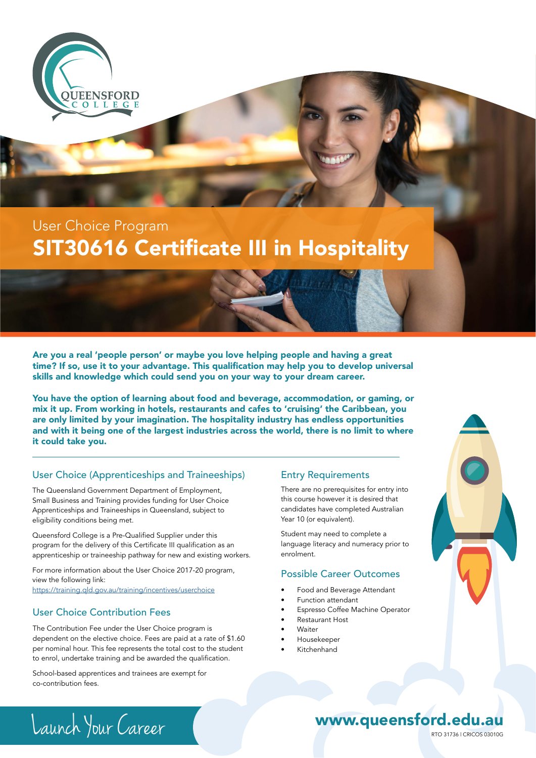

## SIT30616 Certificate III in Hospitality User Choice Program

Are you a real 'people person' or maybe you love helping people and having a great time? If so, use it to your advantage. This qualification may help you to develop universal skills and knowledge which could send you on your way to your dream career.

You have the option of learning about food and beverage, accommodation, or gaming, or mix it up. From working in hotels, restaurants and cafes to 'cruising' the Caribbean, you are only limited by your imagination. The hospitality industry has endless opportunities and with it being one of the largest industries across the world, there is no limit to where it could take you.

#### User Choice (Apprenticeships and Traineeships)

The Queensland Government Department of Employment, Small Business and Training provides funding for User Choice Apprenticeships and Traineeships in Queensland, subject to eligibility conditions being met.

Queensford College is a Pre-Qualified Supplier under this program for the delivery of this Certificate III qualification as an apprenticeship or traineeship pathway for new and existing workers.

For more information about the User Choice 2017-20 program, view the following link: https://training.qld.gov.au/training/incentives/userchoice

#### User Choice Contribution Fees

The Contribution Fee under the User Choice program is dependent on the elective choice. Fees are paid at a rate of \$1.60 per nominal hour. This fee represents the total cost to the student to enrol, undertake training and be awarded the qualification.

School-based apprentices and trainees are exempt for co-contribution fees.

#### Entry Requirements

There are no prerequisites for entry into this course however it is desired that candidates have completed Australian Year 10 (or equivalent).

Student may need to complete a language literacy and numeracy prior to enrolment.

#### Possible Career Outcomes

- Food and Beverage Attendant
- Function attendant
- Espresso Coffee Machine Operator
- Restaurant Host
- Waiter
- Housekeeper
- Kitchenhand



Launch Your Career RTO 31736 | CRICOS 03010G